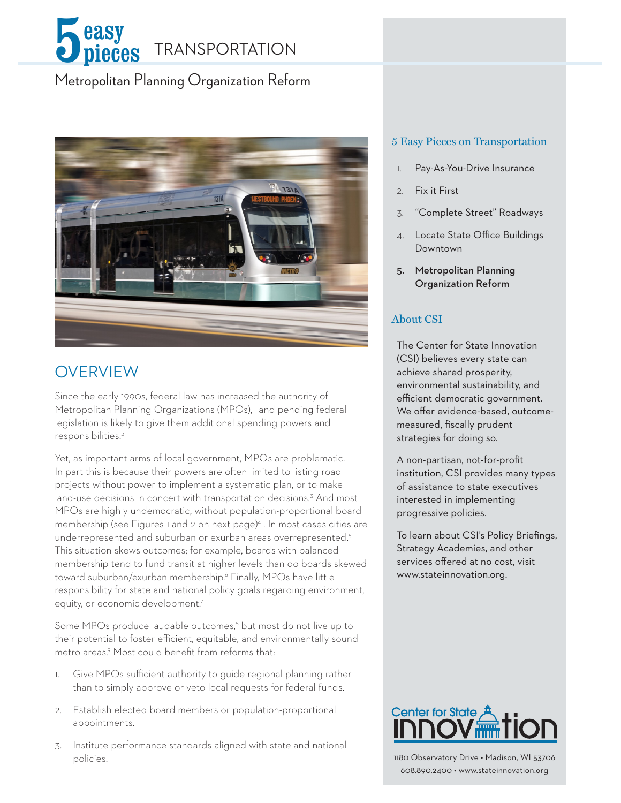

# Metropolitan Planning Organization Reform



## **OVERVIEW**

Since the early 1990s, federal law has increased the authority of Metropolitan Planning Organizations (MPOs),1 and pending federal legislation is likely to give them additional spending powers and responsibilities.2

Yet, as important arms of local government, MPOs are problematic. In part this is because their powers are often limited to listing road projects without power to implement a systematic plan, or to make land-use decisions in concert with transportation decisions.<sup>3</sup> And most MPOs are highly undemocratic, without population-proportional board membership (see Figures 1 and 2 on next page)<sup>4</sup>. In most cases cities are underrepresented and suburban or exurban areas overrepresented.5 This situation skews outcomes; for example, boards with balanced membership tend to fund transit at higher levels than do boards skewed toward suburban/exurban membership.6 Finally, MPOs have little responsibility for state and national policy goals regarding environment, equity, or economic development.<sup>7</sup>

Some MPOs produce laudable outcomes,<sup>8</sup> but most do not live up to their potential to foster efficient, equitable, and environmentally sound metro areas.9 Most could benefit from reforms that:

- 1. Give MPOs sufficient authority to guide regional planning rather than to simply approve or veto local requests for federal funds.
- 2. Establish elected board members or population-proportional appointments.
- 3. Institute performance standards aligned with state and national policies.

### 5 Easy Pieces on Transportation

- 1. Pay-As-You-Drive Insurance
- 2. Fix it First
- 3. "Complete Street" Roadways
- 4. Locate State Office Buildings Downtown
- 5. Metropolitan Planning Organization Reform

### About CSI

The Center for State Innovation (CSI) believes every state can achieve shared prosperity, environmental sustainability, and efficient democratic government. We offer evidence-based, outcomemeasured, fiscally prudent strategies for doing so.

A non-partisan, not-for-profit institution, CSI provides many types of assistance to state executives interested in implementing progressive policies.

To learn about CSI's Policy Briefings, Strategy Academies, and other services offered at no cost, visit www.stateinnovation.org.



1180 Observatory Drive • Madison, WI 53706 608.890.2400 • www.stateinnovation.org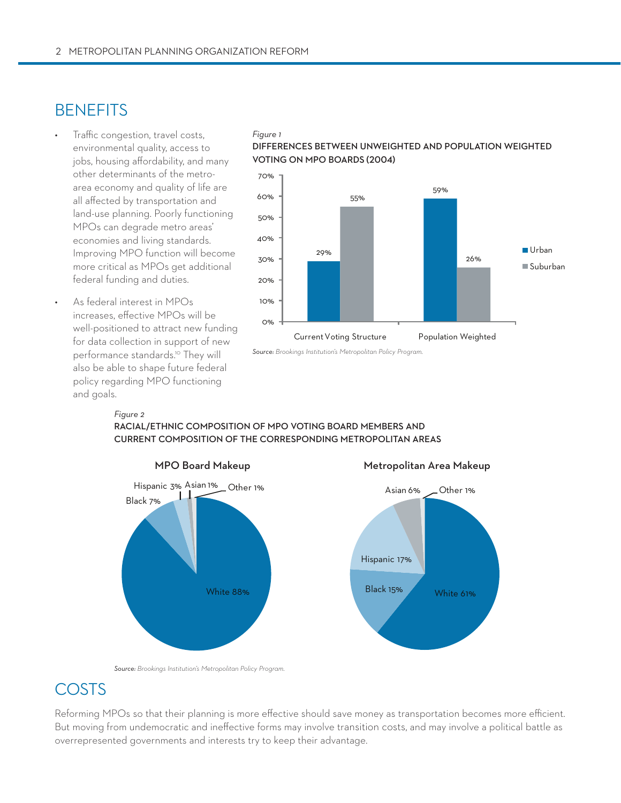## **BENEFITS**

- Traffic congestion, travel costs, environmental quality, access to jobs, housing affordability, and many other determinants of the metroarea economy and quality of life are all affected by transportation and land-use planning. Poorly functioning MPOs can degrade metro areas' economies and living standards. Improving MPO function will become more critical as MPOs get additional federal funding and duties.
- As federal interest in MPOs increases, effective MPOs will be well-positioned to attract new funding for data collection in support of new performance standards.<sup>10</sup> They will also be able to shape future federal policy regarding MPO functioning and goals.

### *Figure 1*

### **Differences between unweighted and population weighted voting on mpo boards (2004)**



*Source: Brookings Institution's Metropolitan Policy Program.*

### *Figure 2*

**racial/ethnic composition of mpo voting board members and current composition of the corresponding metropolitan areas**





### *Source: Brookings Institution's Metropolitan Policy Program.*

# **COSTS**

Reforming MPOs so that their planning is more effective should save money as transportation becomes more efficient. But moving from undemocratic and ineffective forms may involve transition costs, and may involve a political battle as overrepresented governments and interests try to keep their advantage.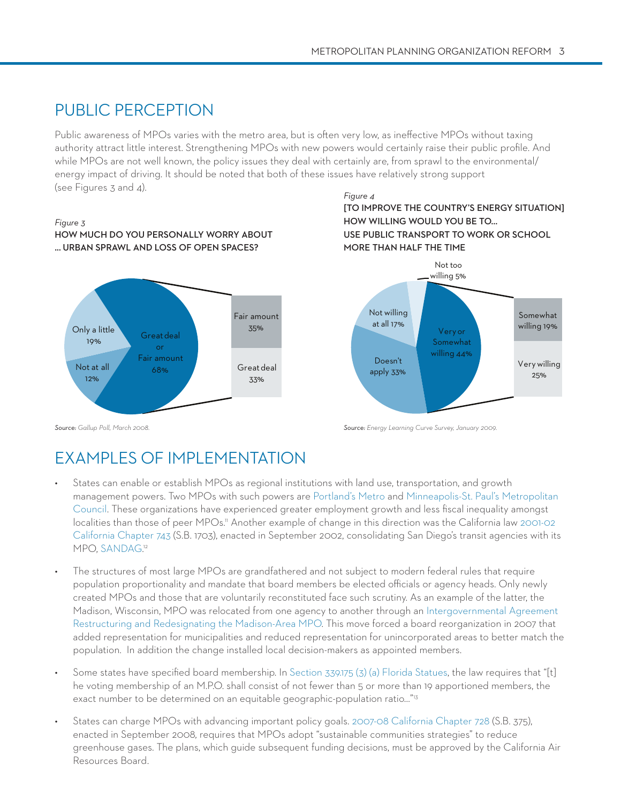# Public perception

Public awareness of MPOs varies with the metro area, but is often very low, as ineffective MPOs without taxing authority attract little interest. Strengthening MPOs with new powers would certainly raise their public profile. And while MPOs are not well known, the policy issues they deal with certainly are, from sprawl to the environmental/ energy impact of driving. It should be noted that both of these issues have relatively strong support (see Figures 3 and 4).

### *Figure 3* **How much do you personally worry about ... urban sprawl and loss of open spaces?**



*Figure 4* **[To improve the country's energy situation] how willing would you be to... use public transport to work or school more than half the time**



*Source: Gallup Poll, March 2008. Source: Energy Learning Curve Survey, January 2009.*

# Examples of Implementation

- States can enable or establish MPOs as regional institutions with land use, transportation, and growth management powers. Two MPOs with such powers are Portland's Metro and Minneapolis-St. Paul's Metropolitan Council. These organizations have experienced greater employment growth and less fiscal inequality amongst localities than those of peer MPOs." Another example of change in this direction was the California law 2001-02 California Chapter 743 (S.B. 1703), enacted in September 2002, consolidating San Diego's transit agencies with its MPO, SANDAG. 12
- The structures of most large MPOs are grandfathered and not subject to modern federal rules that require population proportionality and mandate that board members be elected officials or agency heads. Only newly created MPOs and those that are voluntarily reconstituted face such scrutiny. As an example of the latter, the Madison, Wisconsin, MPO was relocated from one agency to another through an Intergovernmental Agreement Restructuring and Redesignating the Madison-Area MPO. This move forced a board reorganization in 2007 that added representation for municipalities and reduced representation for unincorporated areas to better match the population. In addition the change installed local decision-makers as appointed members.
- Some states have specified board membership. In Section  $339.175$  (3) (a) Florida Statues, the law requires that "[t] he voting membership of an M.P.O. shall consist of not fewer than 5 or more than 19 apportioned members, the exact number to be determined on an equitable geographic-population ratio…"13
- States can charge MPOs with advancing important policy goals. 2007-08 California Chapter 728 (S.B. 375), enacted in September 2008, requires that MPOs adopt "sustainable communities strategies" to reduce greenhouse gases. The plans, which guide subsequent funding decisions, must be approved by the California Air Resources Board.